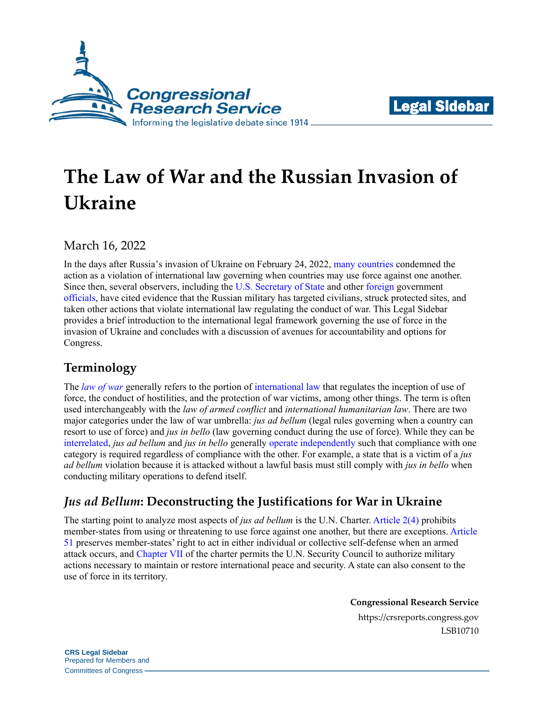



# **The Law of War and the Russian Invasion of Ukraine**

March 16, 2022

In the days after Russia's invasion of Ukraine on February 24, 2022, [many countries](http://opiniojuris.org/2022/03/04/tracking-state-reactions-to-russias-invasion-of-ukraine-a-resource-for-research/) condemned the action as a violation of international law governing when countries may use force against one another. Since then, several observers, including the [U.S. Secretary of State](https://www.cnn.com/videos/world/2022/03/06/antony-blinken-ukraine-russia-war-crimes-sotu-vpx.cnn) and other [foreign](https://www.gov.uk/government/news/uk-leads-call-for-icc-to-investigate-russias-war-crimes) government [officials,](https://www.canada.ca/en/global-affairs/news/2022/03/canada-to-refer-the-situation-in-ukraine-to-international-criminal-court.html) have cited evidence that the Russian military has targeted civilians, struck protected sites, and taken other actions that violate international law regulating the conduct of war. This Legal Sidebar provides a brief introduction to the international legal framework governing the use of force in the invasion of Ukraine and concludes with a discussion of avenues for accountability and options for Congress.

## **Terminology**

The *[law of war](https://dod.defense.gov/Portals/1/Documents/pubs/DoD%20Law%20of%20War%20Manual%20-%20June%202015%20Updated%20Dec%202016.pdf?ver=2016-12-13-172036-190)* generally refers to the portion of [international law](https://crsreports.congress.gov/product/pdf/RL/RL32528) that regulates the inception of use of force, the conduct of hostilities, and the protection of war victims, among other things. The term is often used interchangeably with the *law of armed conflict* and *international humanitarian law*. There are two major categories under the law of war umbrella: *jus ad bellum* (legal rules governing when a country can resort to use of force) and *jus in bello* (law governing conduct during the use of force). While they can be [interrelated,](https://dod.defense.gov/Portals/1/Documents/pubs/DoD%20Law%20of%20War%20Manual%20-%20June%202015%20Updated%20Dec%202016.pdf?ver=2016-12-13-172036-190#page=130) *jus ad bellum* and *jus in bello* generally [operate independently](https://www.icrc.org/en/document/what-are-jus-ad-bellum-and-jus-bello-0) such that compliance with one category is required regardless of compliance with the other. For example, a state that is a victim of a *jus ad bellum* violation because it is attacked without a lawful basis must still comply with *jus in bello* when conducting military operations to defend itself.

# *Jus ad Bellum***: Deconstructing the Justifications for War in Ukraine**

The starting point to analyze most aspects of *jus ad bellum* is the U.N. Charter. [Article 2\(4\)](https://legal.un.org/repertory/art2.shtml) prohibits member-states from using or threatening to use force against one another, but there are exceptions. [Article](https://legal.un.org/repertory/art51.shtml)  [51](https://legal.un.org/repertory/art51.shtml) preserves member-states' right to act in either individual or collective self-defense when an armed attack occurs, and [Chapter VII](https://legal.un.org/repertory/art39.shtml) of the charter permits the U.N. Security Council to authorize military actions necessary to maintain or restore international peace and security. A state can also consent to the use of force in its territory.

**Congressional Research Service**

https://crsreports.congress.gov LSB10710

**CRS Legal Sidebar** Prepared for Members and Committees of Congress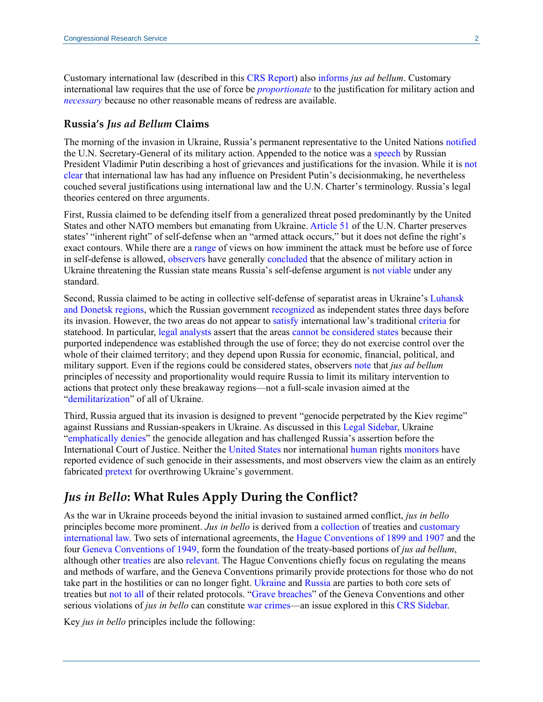Customary international law (described in this [CRS Report\)](https://crsreports.congress.gov/product/pdf/RL/RL32528#_Toc46922720) also [informs](https://www.icj-cij.org/public/files/case-related/70/070-19860627-JUD-01-00-EN.pdf#page=86) *jus ad bellum*. Customary international law requires that the use of force be *[proportionate](https://dod.defense.gov/Portals/1/Documents/pubs/DoD%20Law%20of%20War%20Manual%20-%20June%202015%20Updated%20Dec%202016.pdf?ver=2016-12-13-172036-190#page=83)* to the justification for military action and *[necessary](https://avalon.law.yale.edu/19th_century/br-1842d.asp#web1)* because no other reasonable means of redress are available.

#### **Russia's** *Jus ad Bellum* **Claims**

The morning of the invasion in Ukraine, Russia's permanent representative to the United Nations [notified](https://digitallibrary.un.org/record/3959647/files/S_2022_154-EN.pdf) the U.N. Secretary-General of its military action. Appended to the notice was a [speech](https://www.spectator.co.uk/article/full-text-putin-s-declaration-of-war-on-ukraine) by Russian President Vladimir Putin describing a host of grievances and justifications for the invasion. While it is [not](https://www.ejiltalk.org/recognition/)  [clear](https://www.ejiltalk.org/recognition/) that international law has had any influence on President Putin's decisionmaking, he nevertheless couched several justifications using international law and the U.N. Charter's terminology. Russia's legal theories centered on three arguments.

First, Russia claimed to be defending itself from a generalized threat posed predominantly by the United States and other NATO members but emanating from Ukraine. [Article 51](https://legal.un.org/repertory/art51.shtml) of the U.N. Charter preserves states' "inherent right" of self-defense when an "armed attack occurs," but it does not define the right's exact contours. While there are a [range](https://lieber.westpoint.edu/russia-special-military-operation-claimed-right-self-defense/) of views on how imminent the attack must be before use of force in self-defense is allowed, [observers](https://www.ejiltalk.org/what-is-russias-legal-justification-for-using-force-against-ukraine/) have generally [concluded](https://www.chathamhouse.org/2022/02/ukraine-debunking-russias-legal-justifications) that the absence of military action in Ukraine threatening the Russian state means Russia's self-defense argument is [not viable](https://www.lawfareblog.com/international-law-and-russian-invasion-ukraine) under any standard.

Second, Russia claimed to be acting in collective self-defense of separatist areas in Ukraine's [Luhansk](https://crsreports.congress.gov/product/pdf/IN/IN11872)  [and Donetsk regions,](https://crsreports.congress.gov/product/pdf/IN/IN11872) which the Russian government [recognized](https://www.google.com/url?sa=t&rct=j&q=&esrc=s&source=web&cd=&cad=rja&uact=8&ved=2ahUKEwj27Ifsx7n2AhX6pXIEHfLUDBEQFnoECDoQAQ&url=https%3A%2F%2Fwww.nytimes.com%2F2022%2F02%2F21%2Fworld%2Feurope%2Fdonetsk-luhansk-donbas-ukraine.html&usg=AOvVaw0VkUMEB1FXR7nWmeIZ07Ew) as independent states three days before its invasion. However, the two areas do not appear to [satisfy](https://www.justsecurity.org/80454/statement-by-members-of-the-international-law-association-committee-on-the-use-of-force/) international law's traditional [criteria](https://www.jus.uio.no/english/services/library/treaties/01/1-02/rights-duties-states.xml) for statehood. In particular, [legal analysts](https://www.ejiltalk.org/russias-recognition-of-the-separatist-republics-in-ukraine-was-manifestly-unlawful/) assert that the areas [cannot be considered states](https://voelkerrechtsblog.org/de/russias-recognition-of-the-dpr-and-lpr-as-illegal-acts-under-international-law/) because their purported independence was established through the use of force; they do not exercise control over the whole of their claimed territory; and they depend upon Russia for economic, financial, political, and military support. Even if the regions could be considered states, observers [note](https://www.ejiltalk.org/what-is-russias-legal-justification-for-using-force-against-ukraine/) that *jus ad bellum*  principles of necessity and proportionality would require Russia to limit its military intervention to actions that protect only these breakaway regions—not a full-scale invasion aimed at the ["demilitarization"](https://www.spectator.co.uk/article/full-text-putin-s-declaration-of-war-on-ukraine) of all of Ukraine.

Third, Russia argued that its invasion is designed to prevent "genocide perpetrated by the Kiev regime" against Russians and Russian-speakers in Ukraine. As discussed in this [Legal Sidebar,](https://crsreports.congress.gov/product/pdf/LSB/LSB10704) Ukraine ["emphatically denies"](https://www.icj-cij.org/public/files/case-related/182/182-20220227-APP-01-00-EN.pdf#page=2) the genocide allegation and has challenged Russia's assertion before the International Court of Justice. Neither the [United States](https://www.state.gov/reports/2020-country-reports-on-human-rights-practices/ukraine/) nor international [human](https://www.ohchr.org/EN/Countries/ENACARegion/Pages/UN-Human-Rights-in-Ukraine.aspx) rights [monitors](https://www.osce.org/ukraine-smm/reports) have reported evidence of such genocide in their assessments, and most observers view the claim as an entirely fabricated [pretext](https://crsreports.congress.gov/product/pdf/IN/IN11872) for overthrowing Ukraine's government.

#### *Jus in Bello***: What Rules Apply During the Conflict?**

As the war in Ukraine proceeds beyond the initial invasion to sustained armed conflict, *jus in bello*  principles become more prominent. *Jus in bello* is derived from a [collection](https://ihl-databases.icrc.org/ihl) of treaties and [customary](https://www.icrc.org/en/doc/assets/files/other/icrc_002_0860.pdf)  [international law.](https://www.icrc.org/en/doc/assets/files/other/icrc_002_0860.pdf) Two sets of international agreements, the [Hague Conventions of 1899 and 1907](https://casebook.icrc.org/glossary/hague-conventions) and the four [Geneva Conventions of 1949,](https://www.google.com/url?sa=t&rct=j&q=&esrc=s&source=web&cd=&cad=rja&uact=8&ved=2ahUKEwi29t-_4rv2AhWbq3IEHTAGAfMQFnoECCMQAQ&url=https%3A%2F%2Fwww.justice.gov%2Fsites%2Fdefault%2Ffiles%2Fjmd%2Flegacy%2F2014%2F03%2F15%2Fsenateexecrept-9-1955.pdf&usg=AOvVaw1l57LRF-3Xk-WzwbnXig-R) form the foundation of the treaty-based portions of *jus ad bellum*, although other [treaties](https://www.opcw.org/sites/default/files/documents/CWC/CWC_en.pdf) are also [relevant.](https://front.un-arm.org/wp-content/uploads/2020/12/BWC-text-English-1.pdf) The Hague Conventions chiefly focus on regulating the means and methods of warfare, and the Geneva Conventions primarily provide protections for those who do not take part in the hostilities or can no longer fight. [Ukraine](https://ihl-databases.icrc.org/applic/ihl/ihl.nsf/vwTreatiesByCountrySelected.xsp?xp_countrySelected=UA) and [Russia](https://ihl-databases.icrc.org/applic/ihl/ihl.nsf/vwTreatiesByCountrySelected.xsp?xp_countrySelected=RU&nv=4) are parties to both core sets of treaties but [not to all](https://www.reuters.com/article/us-russia-warcrimes-convention/russias-putin-revokes-geneva-convention-protocol-on-war-crimes-victims-idUSKBN1WW2IN) of their related protocols. ["Grave breaches"](https://www.icrc.org/en/doc/resources/documents/faq/5zmgf9.htm) of the Geneva Conventions and other serious violations of *jus in bello* can constitute [war crimes—](https://ihl-databases.icrc.org/applic/ihl/ihl.nsf/Article.xsp?action=openDocument&documentId=E4C44E2F1347B99D412566900046EACB)an issue explored in this [CRS Sidebar.](https://crsreports.congress.gov/product/pdf/LSB/LSB10709)

Key *jus in bello* principles include the following: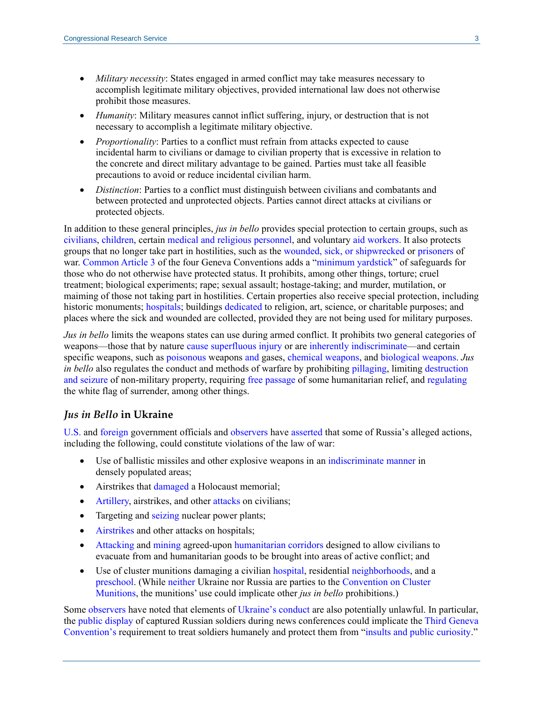- *Military necessity*: States engaged in armed conflict may take measures necessary to accomplish legitimate military objectives, provided international law does not otherwise prohibit those measures.
- *Humanity*: Military measures cannot inflict suffering, injury, or destruction that is not necessary to accomplish a legitimate military objective.
- *Proportionality*: Parties to a conflict must refrain from attacks expected to cause incidental harm to civilians or damage to civilian property that is excessive in relation to the concrete and direct military advantage to be gained. Parties must take all feasible precautions to avoid or reduce incidental civilian harm.
- *Distinction*: Parties to a conflict must distinguish between civilians and combatants and between protected and unprotected objects. Parties cannot direct attacks at civilians or protected objects.

In addition to these general principles, *jus in bello* provides special protection to certain groups, such as [civilians,](https://www.google.com/url?sa=t&rct=j&q=&esrc=s&source=web&cd=&ved=2ahUKEwixhOeSlLz2AhWqT98KHVsdA54QFnoECAYQAQ&url=https%3A%2F%2Fwww.un.org%2Fen%2Fgenocideprevention%2Fdocuments%2Fatrocity-crimes%2FDoc.33_GC-IV-EN.pdf&usg=AOvVaw1inV-CGU9ExFOyNuIJzAoc) [children,](https://ihl-databases.icrc.org/applic/ihl/ihl.nsf/Article.xsp?action=openDocument&documentId=EF34C9694E5DC085C12563CD0051BB98) certain [medical and religious personnel,](https://ihl-databases.icrc.org/applic/ihl/ihl.nsf/Article.xsp?action=openDocument&documentId=3899D23F1524B275C12563CD0051A09E) and voluntary aid [workers.](https://ihl-databases.icrc.org/applic/ihl/ihl.nsf/Article.xsp?action=openDocument&documentId=04669510B73567EAC12563CD0051A0BC) It also protects groups that no longer take part in hostilities, such as the [wounded, sick,](https://ihl-databases.icrc.org/applic/ihl/ihl.nsf/Article.xsp?action=openDocument&documentId=CE8A59A191689791C12563CD00519F73) or [shipwrecked](https://ihl-databases.icrc.org/applic/ihl/ihl.nsf/Article.xsp?action=openDocument&documentId=A30C39F7F85D71CDC12563CD0051A5CF) or [prisoners](https://ihl-databases.icrc.org/applic/ihl/ihl.nsf/Article.xsp?action=openDocument&documentId=24B808D9F30473BEC12563CD0051AB63) of war. [Common Article 3](https://sgp.fas.org/othergov/dod/geneva070606.pdf#page=2) of the four Geneva Conventions adds a ["minimum yardstick"](https://www.icj-cij.org/public/files/case-related/70/070-19860627-JUD-01-00-EN.pdf#page=104) of safeguards for those who do not otherwise have protected status. It prohibits, among other things, torture; cruel treatment; biological experiments; rape; sexual assault; hostage-taking; and murder, mutilation, or maiming of those not taking part in hostilities. Certain properties also receive special protection, including historic monuments; [hospitals;](https://ihl-databases.icrc.org/customary-ihl/eng/docindex/v1_rul_rule35) buildings [dedicated](https://ihl-databases.icrc.org/applic/ihl/ihl.nsf/Article.xsp?action=openDocument&documentId=3C43C56CFC87D4E3C12563CD005167AA) to religion, art, science, or charitable purposes; and places where the sick and wounded are collected, provided they are not being used for military purposes.

*Jus in bello* limits the weapons states can use during armed conflict. It prohibits two general categories of weapons—those that by nature [cause superfluous injury](https://ihl-databases.icrc.org/applic/ihl/ihl.nsf/Article.xsp?action=openDocument&documentId=14BF8E8D6537838EC12563CD00515E22) or are [inherently indiscriminate—](https://dod.defense.gov/Portals/1/Documents/pubs/DoD%20Law%20of%20War%20Manual%20-%20June%202015%20Updated%20Dec%202016.pdf?ver=2016-12-13-172036-190#page=406)and certain specific weapons, such as [poisonous](https://ihl-databases.icrc.org/applic/ihl/ihl.nsf/Article.xsp?action=openDocument&documentId=61CDD9E446504870C12563CD00516768) weapons [and](file://///crs.lib.loc.gov/CRSHOME$/ALD/SMULLIGAN/Ukraine%20Invasion%20Sidebar/mutilation%20of%20maiming%20of%20persons%20not%20taking%20part%20in%20hostilities;) gases, [chemical weapons,](https://www.opcw.org/chemical-weapons-convention/articles/article-i) and [biological weapons.](https://front.un-arm.org/wp-content/uploads/2020/12/BWC-text-English-1.pdf) *Jus in bello* also regulates the conduct and methods of warfare by prohibiting [pillaging,](https://ihl-databases.icrc.org/applic/ihl/ihl.nsf/Article.xsp?action=openDocument&documentId=2A8258E5996A9220C12563CD005167BC) limiting [destruction](https://ihl-databases.icrc.org/applic/ihl/ihl.nsf/Article.xsp?action=openDocument&documentId=F8D322BF3C0216B2C12563CD0051C654)  [and seizure](https://ihl-databases.icrc.org/applic/ihl/ihl.nsf/Article.xsp?action=openDocument&documentId=F8D322BF3C0216B2C12563CD0051C654) of non-military property, requiring [free passage](https://ihl-databases.icrc.org/applic/ihl/ihl.nsf/Article.xsp?action=openDocument&documentId=4FBC9DEAB064E2B7C12563CD0051BB76) of some humanitarian relief, and [regulating](https://ihl-databases.icrc.org/applic/ihl/ihl.nsf/Article.xsp?action=openDocument&documentId=61CDD9E446504870C12563CD00516768) the white flag of surrender, among other things.

#### *Jus in Bello* **in Ukraine**

[U.S.](https://usun.usmission.gov/ambassador-linda-thomas-greenfields-interview-with-james-menendez-of-bbc-newshour/) and [foreign](https://www.bbc.com/news/world-europe-60719152) government officials and [observers](https://www.hrw.org/europe/central-asia/ukraine) have [asserted](https://www.icrc.org/en/document/ukraine-amid-mounting-human-cost-parties-must-uphold-international-humanitarian-law-0) that some of Russia's alleged actions, including the following, could constitute violations of the law of war:

- Use of ballistic missiles and other explosive weapons in an [indiscriminate manner](https://www.amnesty.org/en/latest/news/2022/02/russian-military-commits-indiscriminate-attacks-during-the-invasion-of-ukraine/) in densely populated areas;
- Airstrikes that [damaged](https://www.loc.gov/item/global-legal-monitor/2022-03-13/international-criminal-court-chief-prosecutor-to-open-investigation-into-possible-war-crimes-in-ukraine/) a Holocaust memorial;
- [Artillery,](https://www.bbc.com/news/world-europe-60585603) airstrikes, and other [attacks](https://www.wsj.com/articles/russia-ramps-up-attacks-after-deadly-hit-on-maternity-hospital-11646907696) on civilians;
- Targeting and [seizing](https://crsreports.congress.gov/product/pdf/IN/IN11883) nuclear power plants;
- [Airstrikes](https://www.wsj.com/articles/russia-presses-offensive-as-ukrainians-try-to-evacuate-11646819525?mod=article_inline) and other attacks on hospitals;
- [Attacking](https://www.bbc.co.uk/news/live/world-europe-60635927) and [mining](https://www.bbc.com/news/live/world-europe-60635927?ns_mchannel=social&ns_source=twitter&ns_campaign=bbc_live&ns_linkname=6225c463980bea49f4b7b73c%26Evacuation%20route%20out%20of%20Mariupol%20was%20mined%2C%20Red%20Cross%20says%262022-03-07T08%3A47%3A05%2B00%3A00&ns_fee=0&pinned_post_locator=urn:asset:db771701-6dc4-4ec6-80c5-bf4be97ab054&pinned_post_asset_id=6225c463980bea49f4b7b73c&pinned_post_type=share) agreed-upon [humanitarian corridors](https://www.justsecurity.org/80576/humanitarian-corridors-in-ukraine-impasse-ploy-or-narrow-passage-of-hope/) designed to allow civilians to evacuate from and humanitarian goods to be brought into areas of active conflict; and
- Use of cluster munitions damaging a civilian [hospital,](https://www.hrw.org/news/2022/02/25/ukraine-russian-cluster-munition-hits-hospital) residential [neighborhoods](https://www.hrw.org/news/2022/03/04/ukraine-cluster-munitions-launched-kharkiv-neighborhoods), and a [preschool.](https://www.amnesty.org/en/latest/news/2022/02/ukraine-cluster-munitions-kill-child-and-two-other-civilians-taking-shelter-at-a-preschool/) (While [neither](https://treaties.un.org/Pages/ViewDetails.aspx?src=TREATY&mtdsg_no=XXVI-6&chapter=26&clang=_en) Ukraine nor Russia are parties to the [Convention on Cluster](https://treaties.un.org/doc/Publication/CTC/26-6.pdf)  [Munitions,](https://treaties.un.org/doc/Publication/CTC/26-6.pdf) the munitions' use could implicate other *jus in bello* prohibitions.)

Some [observers](https://www.amnesty.org/en/latest/news/2022/03/russia-ukraine-prisoners-of-war-must-be-protected-from-public-curiosity-under-geneva-convention/) have noted that elements of [Ukraine's conduct](https://www.ejiltalk.org/treatment-of-persons-hors-de-combat-in-the-russo-ukrainian-war/) are also potentially unlawful. In particular, the [public display](https://www.washingtonpost.com/world/2022/03/09/ukraine-russia-prisoners-pows/) of captured Russian soldiers during news conferences could implicate the [Third Geneva](file://///crs.lib.loc.gov/CRSHOME$/ALD/SMULLIGAN/Ukraine%20Invasion%20Sidebar/provides%20protections%20during%20armed%20conflicts%20not%20of%20an%20international%20nature,%20but%20also%20protects%20persons%20during%20international%20armed%20conflicts%20who%20are%20not%20entitled%20to%20protected%20status%20under%20any%20of%20the%20four%20Conventions)  [Convention's](file://///crs.lib.loc.gov/CRSHOME$/ALD/SMULLIGAN/Ukraine%20Invasion%20Sidebar/provides%20protections%20during%20armed%20conflicts%20not%20of%20an%20international%20nature,%20but%20also%20protects%20persons%20during%20international%20armed%20conflicts%20who%20are%20not%20entitled%20to%20protected%20status%20under%20any%20of%20the%20four%20Conventions) requirement to treat soldiers humanely and protect them from ["insults and public curiosity.](https://ihl-databases.icrc.org/applic/ihl/ihl.nsf/Article.xsp?action=openDocument&documentId=CD863DC518A5E1D7C12563CD0051AB7A)"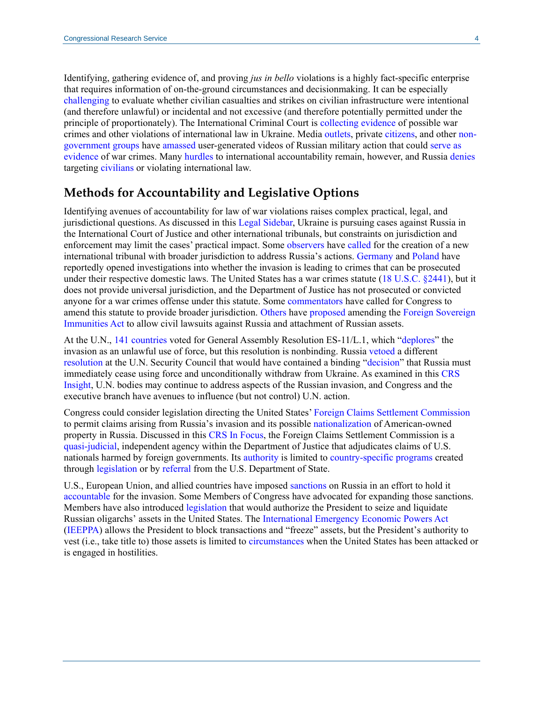Identifying, gathering evidence of, and proving *jus in bello* violations is a highly fact-specific enterprise that requires information of on-the-ground circumstances and decisionmaking. It can be especially [challenging](https://taskandpurpose.com/news/russia-possible-war-crimes-ukraine/) to evaluate whether civilian casualties and strikes on civilian infrastructure were intentional (and therefore unlawful) or incidental and not excessive (and therefore potentially permitted under the principle of proportionately). The International Criminal Court is [collecting evidence](https://www.icc-cpi.int/Pages/item.aspx?name=2022-prosecutor-statement-referrals-ukraine) of possible war crimes and other violations of international law in Ukraine. Media [outlets,](https://www.nytimes.com/2022/03/06/world/europe/ukraine-irpin-civilian-death.html) private [citizens,](https://www.washingtonpost.com/technology/2022/03/01/social-media-ukraine-russia/) and other [non](https://www.bellingcat.com/tag/ukraine/)[government groups](https://www.bellingcat.com/tag/ukraine/) have [amassed](https://time.com/6150884/ukraine-russia-attack-open-source-intelligence/) user-generated videos of Russian military action that could [serve as](https://www.justsecurity.org/80404/the-intl-criminal-courts-ukraine-investigation-a-test-case-for-user-generated-evidence/)  [evidence](https://www.justsecurity.org/80404/the-intl-criminal-courts-ukraine-investigation-a-test-case-for-user-generated-evidence/) of war crimes. Many [hurdles](https://lieber.westpoint.edu/accountability-ukraine-hurdles-prosecuting-war-crimes-aggression/) to international accountability remain, however, and Russia [denies](https://www.reuters.com/markets/asia/top-wrap-1-ukrainians-trapped-besieged-city-fighting-blocks-evacuation-efforts-2022-03-07/) targeting [civilians](https://www.wsj.com/articles/russia-ramps-up-attacks-after-deadly-hit-on-maternity-hospital-11646907696) or violating international law.

#### **Methods for Accountability and Legislative Options**

Identifying avenues of accountability for law of war violations raises complex practical, legal, and jurisdictional questions. As discussed in this [Legal Sidebar,](https://crsreports.congress.gov/product/pdf/LSB/LSB10704) Ukraine is pursuing cases against Russia in the International Court of Justice and other international tribunals, but constraints on jurisdiction and enforcement may limit the cases' practical impact. Some [observers](https://www.chathamhouse.org/events/all/research-event/criminal-tribunal-aggression-ukraine) have [called](https://www.justsecurity.org/80545/u-n-general-assembly-should-recommend-creation-of-crime-of-aggression-tribunal-for-ukraine-nuremberg-is-not-the-model/) for the creation of a new international tribunal with broader jurisdiction to address Russia's actions. [Germany](https://www.google.com/url?sa=t&rct=j&q=&esrc=s&source=web&cd=&cad=rja&uact=8&ved=2ahUKEwilzNvV5rz2AhWrknIEHfweCxEQvOMEKAB6BAgDEAE&url=https%3A%2F%2Fwww.wsj.com%2Flivecoverage%2Frussia-ukraine-latest-news-2022-03-08%2Fcard%2Fgermany-opens-investigation-into-suspected-russian-war-crimes-in-ukraine-bNCphaIWE30f2REH8BCi&usg=AOvVaw3fzwAH2bEll5eVJu36uv3_) and [Poland](https://opiniojuris.org/2022/03/08/de-bunking-the-role-of-international-law-in-the-ukrainian-conflict/) have reportedly opened investigations into whether the invasion is leading to crimes that can be prosecuted under their respective domestic laws. The United States has a war crimes statute [\(18 U.S.C. §2441\)](https://uscode.house.gov/view.xhtml?req=(title:18%20section:2441%20edition:prelim)%20OR%20(granuleid:USC-prelim-title18-section2441)&f=treesort&edition=prelim&num=0&jumpTo=true), but it does not provide universal jurisdiction, and the Department of Justice has not prosecuted or convicted anyone for a war crimes offense under this statute. Some [commentators](https://www.lawfareblog.com/congress-needs-amend-war-crimes-act-1996) have called for Congress to amend this statute to provide broader jurisdiction. [Others](https://www.lawfareblog.com/does-foreign-sovereign-immunity-apply-sanctions-central-banks) have [proposed](https://www.ejiltalk.org/russian-assets-accountability-for-ukraine-and-a-plea-for-short-term-thinking/) amending the [Foreign Sovereign](https://uscode.house.gov/view.xhtml?path=/prelim@title28/part4/chapter97&edition=prelim)  [Immunities Act](https://uscode.house.gov/view.xhtml?path=/prelim@title28/part4/chapter97&edition=prelim) to allow civil lawsuits against Russia and attachment of Russian assets.

At the U.N., [141 countries](https://digitallibrary.un.org/record/3959039?ln=en) voted for General Assembly Resolution ES-11/L.1, which ["deplores"](https://digitallibrary.un.org/record/3958976/files/A_ES-11_L.1-EN.pdf) the invasion as an unlawful use of force, but this resolution is nonbinding. Russia [vetoed](https://research.un.org/en/docs/sc/quick/veto) a different [resolution](https://daccess-ods.un.org/access.nsf/Get?OpenAgent&DS=s/2022/155&Lang=E) at the U.N. Security Council that would have contained a binding ["decision"](https://legal.un.org/repertory/art25.shtml) that Russia must immediately cease using force and unconditionally withdraw from Ukraine. As examined in this [CRS](https://crsreports.congress.gov/product/pdf/IN/IN11876)  [Insight,](https://crsreports.congress.gov/product/pdf/IN/IN11876) U.N. bodies may continue to address aspects of the Russian invasion, and Congress and the executive branch have avenues to influence (but not control) U.N. action.

Congress could consider legislation directing the United States[' Foreign Claims Settlement Commission](https://crsreports.congress.gov/product/pdf/IF/IF11376) to permit claims arising from Russia's invasion and its possible [nationalization](https://www.axios.com/russia-ukraine-war-business-nationalization-890613b5-06ac-450d-8c06-3e54c81e93c5.html) of American-owned property in Russia. Discussed in this [CRS In](https://crsreports.congress.gov/product/pdf/IF/IF11376) Focus, the Foreign Claims Settlement Commission is a [quasi-judicial,](https://www.google.com/url?sa=t&rct=j&q=&esrc=s&source=web&cd=&cad=rja&uact=8&ved=2ahUKEwjj7-qSir32AhWImHIEHZySCOgQFnoECAoQAw&url=https%3A%2F%2Fwww.justice.gov%2Ffcsc%2Fabout-commission&usg=AOvVaw08VLQq5TpTI-9hE-suayv8) independent agency within the Department of Justice that adjudicates claims of U.S. nationals harmed by foreign governments. Its [authority](https://uscode.house.gov/view.xhtml?req=granuleid:USC-1999-title22-section1623&num=0&edition=1999) is limited to [country-specific programs](https://www.justice.gov/fcsc/completed-programs) created through [legislation](https://www.congress.gov/114/plaws/publ328/PLAW-114publ328.pdf#page=2642) or by [referral](https://www.justice.gov/sites/default/files/pages/attachments/2014/10/21/iraq_claims_second_referral_10-7-2014.pdf) from the U.S. Department of State.

U.S., European Union, and allied countries have imposed [sanctions](https://crsreports.congress.gov/product/pdf/IN/IN11869) on Russia in an effort to hold it [accountable](https://home.treasury.gov/news/press-releases/jy0562) for the invasion. Some Members of Congress have advocated for expanding those sanctions. Members have also introduced [legislation](https://www.congress.gov/bill/117th-congress/house-bill/6930/text?r=6&s=1) that would authorize the President to seize and liquidate Russian oligarchs' assets in the United States. The [International Emergency Economic Powers Act](https://uscode.house.gov/view.xhtml?path=/prelim@title50/chapter35&edition=prelim) [\(IEEPPA\)](https://uscode.house.gov/view.xhtml?path=/prelim@title50/chapter35&edition=prelim) allows the President to block transactions and "freeze" assets, but the President's authority to vest (i.e., take title to) those assets is limited to [circumstances](https://crsreports.congress.gov/product/pdf/R/R45618#_Toc45804524) when the United States has been attacked or is engaged in hostilities.